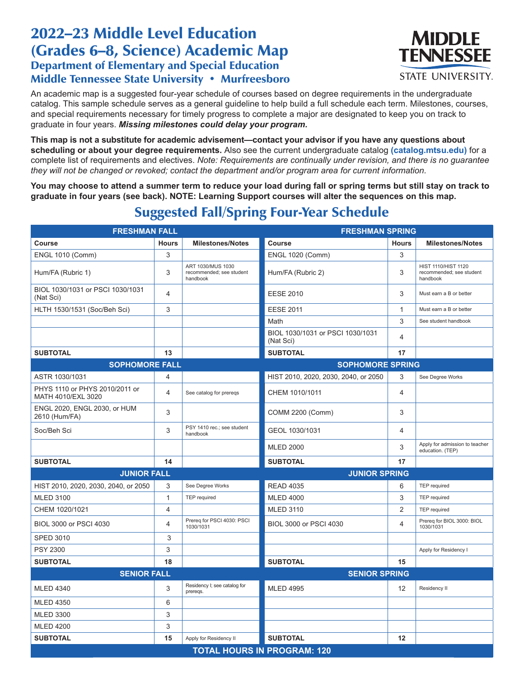## 2022–23 Middle Level Education (Grades 6–8, Science) Academic Map Department of Elementary and Special Education Middle Tennessee State University • Murfreesboro



An academic map is a suggested four-year schedule of courses based on degree requirements in the undergraduate catalog. This sample schedule serves as a general guideline to help build a full schedule each term. Milestones, courses, and special requirements necessary for timely progress to complete a major are designated to keep you on track to graduate in four years. *Missing milestones could delay your program.*

**This map is not a substitute for academic advisement—contact your advisor if you have any questions about scheduling or about your degree requirements.** Also see the current undergraduate catalog **(catalog.mtsu.edu)** for a complete list of requirements and electives. *Note: Requirements are continually under revision, and there is no guarantee they will not be changed or revoked; contact the department and/or program area for current information.*

**You may choose to attend a summer term to reduce your load during fall or spring terms but still stay on track to graduate in four years (see back). NOTE: Learning Support courses will alter the sequences on this map.**

| <b>FRESHMAN FALL</b>                                 |                                    | <b>FRESHMAN SPRING</b>                                    |                                               |                |                                                             |  |  |  |
|------------------------------------------------------|------------------------------------|-----------------------------------------------------------|-----------------------------------------------|----------------|-------------------------------------------------------------|--|--|--|
| <b>Course</b>                                        | <b>Hours</b>                       | <b>Milestones/Notes</b>                                   | <b>Course</b>                                 | <b>Hours</b>   | <b>Milestones/Notes</b>                                     |  |  |  |
| <b>ENGL 1010 (Comm)</b>                              | 3                                  |                                                           | <b>ENGL 1020 (Comm)</b>                       | 3              |                                                             |  |  |  |
| Hum/FA (Rubric 1)                                    | 3                                  | ART 1030/MUS 1030<br>recommended; see student<br>handbook | Hum/FA (Rubric 2)                             | 3              | HIST 1110/HIST 1120<br>recommended; see student<br>handbook |  |  |  |
| BIOL 1030/1031 or PSCI 1030/1031<br>(Nat Sci)        | 4                                  |                                                           | <b>EESE 2010</b>                              | 3              | Must earn a B or better                                     |  |  |  |
| HLTH 1530/1531 (Soc/Beh Sci)                         | 3                                  |                                                           | <b>EESE 2011</b>                              | $\mathbf{1}$   | Must earn a B or better                                     |  |  |  |
|                                                      |                                    |                                                           | Math                                          | 3              | See student handbook                                        |  |  |  |
|                                                      |                                    |                                                           | BIOL 1030/1031 or PSCI 1030/1031<br>(Nat Sci) | 4              |                                                             |  |  |  |
| <b>SUBTOTAL</b>                                      | 13                                 |                                                           | <b>SUBTOTAL</b>                               | 17             |                                                             |  |  |  |
| <b>SOPHOMORE FALL</b>                                |                                    |                                                           | <b>SOPHOMORE SPRING</b>                       |                |                                                             |  |  |  |
| ASTR 1030/1031                                       | 4                                  |                                                           | HIST 2010, 2020, 2030, 2040, or 2050          | 3              | See Degree Works                                            |  |  |  |
| PHYS 1110 or PHYS 2010/2011 or<br>MATH 4010/EXL 3020 | 4                                  | See catalog for preregs                                   | CHEM 1010/1011                                | $\overline{4}$ |                                                             |  |  |  |
| ENGL 2020, ENGL 2030, or HUM<br>2610 (Hum/FA)        | 3                                  |                                                           | COMM 2200 (Comm)                              | 3              |                                                             |  |  |  |
| Soc/Beh Sci                                          | 3                                  | PSY 1410 rec.; see student<br>handbook                    | GEOL 1030/1031                                | 4              |                                                             |  |  |  |
|                                                      |                                    |                                                           | <b>MLED 2000</b>                              | 3              | Apply for admission to teacher<br>education. (TEP)          |  |  |  |
| <b>SUBTOTAL</b>                                      | 14                                 |                                                           | <b>SUBTOTAL</b>                               | 17             |                                                             |  |  |  |
| <b>JUNIOR FALL</b>                                   |                                    | <b>JUNIOR SPRING</b>                                      |                                               |                |                                                             |  |  |  |
| HIST 2010, 2020, 2030, 2040, or 2050                 | 3                                  | See Degree Works                                          | <b>READ 4035</b>                              | 6              | <b>TEP</b> required                                         |  |  |  |
| <b>MLED 3100</b>                                     | $\mathbf{1}$                       | TEP required                                              | <b>MLED 4000</b>                              | 3              | <b>TEP</b> required                                         |  |  |  |
| CHEM 1020/1021                                       | 4                                  |                                                           | <b>MLED 3110</b>                              | 2              | <b>TEP</b> required                                         |  |  |  |
| BIOL 3000 or PSCI 4030                               | 4                                  | Prereq for PSCI 4030: PSCI<br>1030/1031                   | BIOL 3000 or PSCI 4030                        | $\overline{4}$ | Prereq for BIOL 3000: BIOL<br>1030/1031                     |  |  |  |
| <b>SPED 3010</b>                                     | 3                                  |                                                           |                                               |                |                                                             |  |  |  |
| PSY 2300                                             | 3                                  |                                                           |                                               |                | Apply for Residency I                                       |  |  |  |
| <b>SUBTOTAL</b>                                      | 18                                 |                                                           | <b>SUBTOTAL</b>                               | 15             |                                                             |  |  |  |
| <b>SENIOR FALL</b>                                   |                                    |                                                           | <b>SENIOR SPRING</b>                          |                |                                                             |  |  |  |
| <b>MLED 4340</b>                                     | 3                                  | Residency I; see catalog for<br>preregs.                  | <b>MLED 4995</b>                              | 12             | Residency II                                                |  |  |  |
| <b>MLED 4350</b>                                     | 6                                  |                                                           |                                               |                |                                                             |  |  |  |
| <b>MLED 3300</b>                                     | 3                                  |                                                           |                                               |                |                                                             |  |  |  |
| <b>MLED 4200</b>                                     | 3                                  |                                                           |                                               |                |                                                             |  |  |  |
| <b>SUBTOTAL</b>                                      | 15                                 | Apply for Residency II                                    | <b>SUBTOTAL</b>                               | 12             |                                                             |  |  |  |
|                                                      | <b>TOTAL HOURS IN PROGRAM: 120</b> |                                                           |                                               |                |                                                             |  |  |  |

## Suggested Fall/Spring Four-Year Schedule